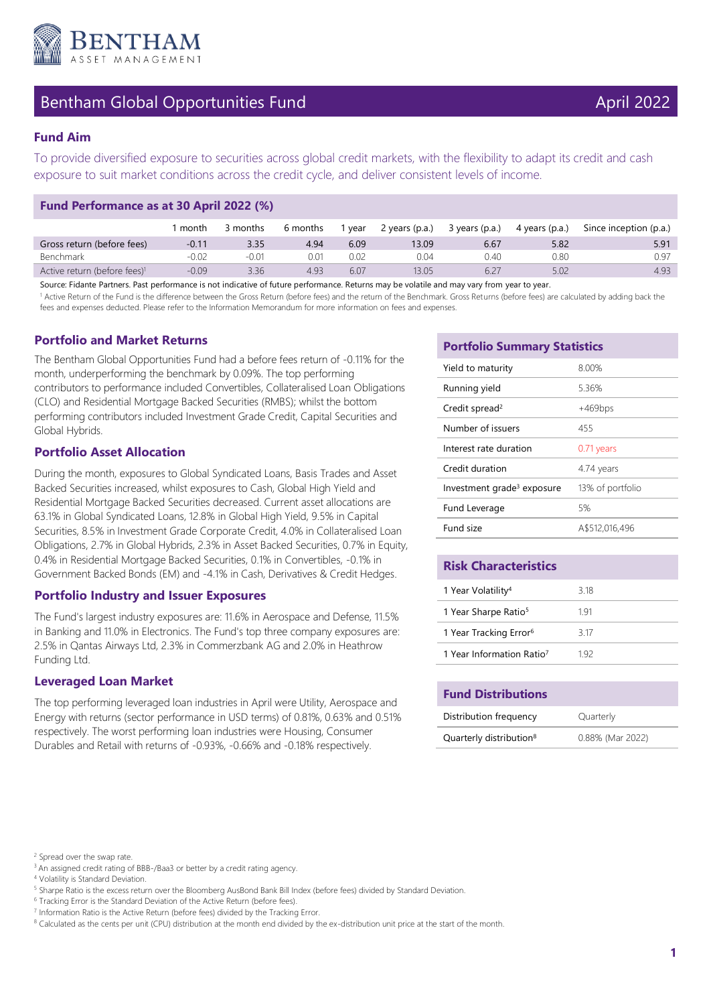

## Bentham Global Opportunities Fund April 2022

To provide diversified exposure to securities across global credit markets, with the flexibility to adapt its credit and cash exposure to suit market conditions across the credit cycle, and deliver consistent levels of income.

## **Fund Performance as at 30 April 2022 (%)**

|                                          | month   | 3 months | 6 months | 1 year | 2 years (p.a.) | 3 years (p.a.) | 4 years (p.a.) | Since inception (p.a.) |
|------------------------------------------|---------|----------|----------|--------|----------------|----------------|----------------|------------------------|
| Gross return (before fees)               | $-0.11$ | 3.35     | 4.94     | 6.09   | 13.09          | 6.67           | 5.82           | 5.91                   |
| Benchmark                                | -0.02   | $-0.01$  | 0.01     | 0.02   | 0.04           | 1.40           | 0.80           | 0.97                   |
| Active return (before fees) <sup>1</sup> | -0.09   | 3.36     | 4.93     | 6.07   | 13.05          |                | 5.02           | 4.93                   |

Source: Fidante Partners. Past performance is not indicative of future performance. Returns may be volatile and may vary from year to year.

<sup>1</sup> Active Return of the Fund is the difference between the Gross Return (before fees) and the return of the Benchmark. Gross Returns (before fees) are calculated by adding back the fees and expenses deducted. Please refer to the Information Memorandum for more information on fees and expenses.

## **Portfolio and Market Returns**

The Bentham Global Opportunities Fund had a before fees return of -0.11% for the month, underperforming the benchmark by 0.09%. The top performing contributors to performance included Convertibles, Collateralised Loan Obligations (CLO) and Residential Mortgage Backed Securities (RMBS); whilst the bottom performing contributors included Investment Grade Credit, Capital Securities and Global Hybrids.

## **Portfolio Asset Allocation**

During the month, exposures to Global Syndicated Loans, Basis Trades and Asset Backed Securities increased, whilst exposures to Cash, Global High Yield and Residential Mortgage Backed Securities decreased. Current asset allocations are 63.1% in Global Syndicated Loans, 12.8% in Global High Yield, 9.5% in Capital Securities, 8.5% in Investment Grade Corporate Credit, 4.0% in Collateralised Loan Obligations, 2.7% in Global Hybrids, 2.3% in Asset Backed Securities, 0.7% in Equity, 0.4% in Residential Mortgage Backed Securities, 0.1% in Convertibles, -0.1% in Government Backed Bonds (EM) and -4.1% in Cash, Derivatives & Credit Hedges.

## **Portfolio Industry and Issuer Exposures**

The Fund's largest industry exposures are: 11.6% in Aerospace and Defense, 11.5% in Banking and 11.0% in Electronics. The Fund's top three company exposures are: 2.5% in Qantas Airways Ltd, 2.3% in Commerzbank AG and 2.0% in Heathrow Funding Ltd.

## **Leveraged Loan Market**

The top performing leveraged loan industries in April were Utility, Aerospace and Energy with returns (sector performance in USD terms) of 0.81%, 0.63% and 0.51% respectively. The worst performing loan industries were Housing, Consumer Durables and Retail with returns of -0.93%, -0.66% and -0.18% respectively.

## **Portfolio Summary Statistics**

| Yield to maturity                      | 8.00%            |
|----------------------------------------|------------------|
| Running yield                          | 5.36%            |
| Credit spread <sup>2</sup>             | $+469$ bps       |
| Number of issuers                      | 455              |
| Interest rate duration                 | 0.71 years       |
| Credit duration                        | 4.74 years       |
| Investment grade <sup>3</sup> exposure | 13% of portfolio |
| Fund Leverage                          | 5%               |
| Fund size                              | A\$512,016,496   |

## **Risk Characteristics**

| 1 Year Volatility <sup>4</sup>        | 3 18 |
|---------------------------------------|------|
| 1 Year Sharpe Ratio <sup>5</sup>      | 191  |
| 1 Year Tracking Error <sup>6</sup>    | 3.17 |
| 1 Year Information Ratio <sup>7</sup> | 192  |

| <b>Fund Distributions</b>           |                  |  |  |  |
|-------------------------------------|------------------|--|--|--|
| Distribution frequency              | Quarterly        |  |  |  |
| Quarterly distribution <sup>8</sup> | 0.88% (Mar 2022) |  |  |  |

<sup>&</sup>lt;sup>2</sup> Spread over the swap rate.

<sup>&</sup>lt;sup>3</sup> An assigned credit rating of BBB-/Baa3 or better by a credit rating agency.

<sup>4</sup> Volatility is Standard Deviation.

<sup>&</sup>lt;sup>5</sup> Sharpe Ratio is the excess return over the Bloomberg AusBond Bank Bill Index (before fees) divided by Standard Deviation.

<sup>&</sup>lt;sup>6</sup> Tracking Error is the Standard Deviation of the Active Return (before fees).

<sup>&</sup>lt;sup>7</sup> Information Ratio is the Active Return (before fees) divided by the Tracking Error.

<sup>&</sup>lt;sup>8</sup> Calculated as the cents per unit (CPU) distribution at the month end divided by the ex-distribution unit price at the start of the month.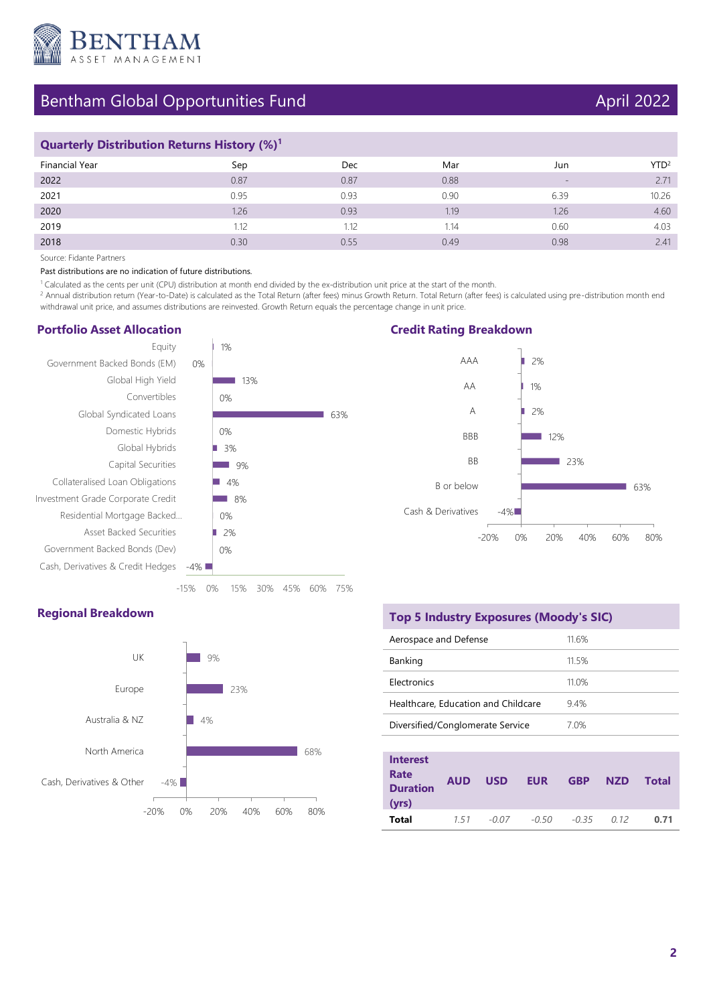

# Bentham Global Opportunities Fund April 2022

## **Quarterly Distribution Returns History (%)<sup>1</sup>**

| Financial Year | Sep  | Dec  | Mar  | Jun               | YTD <sup>2</sup> |
|----------------|------|------|------|-------------------|------------------|
| 2022           | 0.87 | 0.87 | 0.88 | $\qquad \qquad -$ | 2.71             |
| 2021           | 0.95 | 0.93 | 0.90 | 6.39              | 10.26            |
| 2020           | 1.26 | 0.93 | 1.19 | 1.26              | 4.60             |
| 2019           | .12  | 1.12 | 1.14 | 0.60              | 4.03             |
| 2018           | 0.30 | 0.55 | 0.49 | 0.98              | 2.41             |

Source: Fidante Partners

Past distributions are no indication of future distributions.

1 Calculated as the cents per unit (CPU) distribution at month end divided by the ex-distribution unit price at the start of the month.

<sup>2</sup> Annual distribution return (Year-to-Date) is calculated as the Total Return (after fees) minus Growth Return. Total Return (after fees) is calculated using pre-distribution month end withdrawal unit price, and assumes distributions are reinvested. Growth Return equals the percentage change in unit price.

63%

### **Portfolio Asset Allocation**



**Credit Rating Breakdown**



### **Regional Breakdown**



|  | <b>Top 5 Industry Exposures (Moody's SIC)</b> |
|--|-----------------------------------------------|
|--|-----------------------------------------------|

| Aerospace and Defense               | 11.6% |
|-------------------------------------|-------|
| Banking                             | 115%  |
| <b>Flectronics</b>                  | 11.0% |
| Healthcare, Education and Childcare | 94%   |
| Diversified/Conglomerate Service    | 7.0%  |
|                                     |       |

| <b>Interest</b><br>Rate<br><b>Duration</b><br>(yrs) | <b>AUD</b> | <b>USD</b> | <b>EUR</b> | <b>GBP</b> | <b>NZD</b> | <b>Total</b> |
|-----------------------------------------------------|------------|------------|------------|------------|------------|--------------|
| Total                                               | 7.57       | $-0.07$    | $-0.50$    | $-0.35$    | 0.12       | 0.71         |